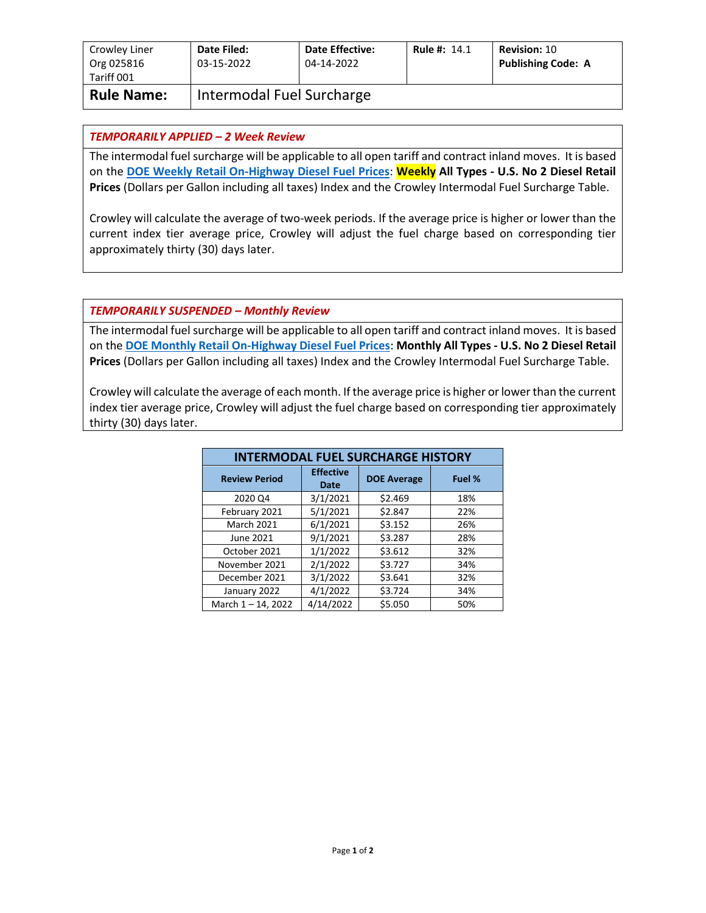| Crowley Liner<br>Org 025816<br>Tariff 001 | Date Filed:<br>03-15-2022 | <b>Date Effective:</b><br>04-14-2022 | <b>Rule #: 14.1</b> | <b>Revision: 10</b><br><b>Publishing Code: A</b> |
|-------------------------------------------|---------------------------|--------------------------------------|---------------------|--------------------------------------------------|
| <b>Rule Name:</b>                         | Intermodal Fuel Surcharge |                                      |                     |                                                  |

## *TEMPORARILY APPLIED – 2 Week Review*

The intermodal fuel surcharge will be applicable to all open tariff and contract inland moves. It is based on the **[DOE Weekly Retail On-Highway Diesel Fuel Prices](https://www.eia.gov/petroleum/gasdiesel/)**: **Weekly All Types - U.S. No 2 Diesel Retail Prices** (Dollars per Gallon including all taxes) Index and the Crowley Intermodal Fuel Surcharge Table.

Crowley will calculate the average of two-week periods. If the average price is higher or lower than the current index tier average price, Crowley will adjust the fuel charge based on corresponding tier approximately thirty (30) days later.

## *TEMPORARILY SUSPENDED – Monthly Review*

The intermodal fuel surcharge will be applicable to all open tariff and contract inland moves. It is based on the **[DOE Monthly Retail On-Highway Diesel Fuel Prices](https://www.eia.gov/petroleum/gasdiesel/)**: **Monthly All Types - U.S. No 2 Diesel Retail Prices** (Dollars per Gallon including all taxes) Index and the Crowley Intermodal Fuel Surcharge Table.

Crowley will calculate the average of each month. If the average price is higher or lower than the current index tier average price, Crowley will adjust the fuel charge based on corresponding tier approximately thirty (30) days later.

| <b>INTERMODAL FUEL SURCHARGE HISTORY</b> |                          |                    |        |  |  |
|------------------------------------------|--------------------------|--------------------|--------|--|--|
| <b>Review Period</b>                     | <b>Effective</b><br>Date | <b>DOE Average</b> | Fuel % |  |  |
| 2020 Q4                                  | 3/1/2021                 | \$2.469            | 18%    |  |  |
| February 2021                            | 5/1/2021                 | \$2.847            | 22%    |  |  |
| <b>March 2021</b>                        | 6/1/2021                 | \$3.152            | 26%    |  |  |
| June 2021                                | 9/1/2021                 | \$3.287            | 28%    |  |  |
| October 2021                             | 1/1/2022                 | \$3.612            | 32%    |  |  |
| November 2021                            | 2/1/2022                 | \$3.727            | 34%    |  |  |
| December 2021                            | 3/1/2022                 | \$3.641            | 32%    |  |  |
| January 2022                             | 4/1/2022                 | \$3.724            | 34%    |  |  |
| March $1 - 14$ , 2022                    | 4/14/2022                | \$5.050            | 50%    |  |  |